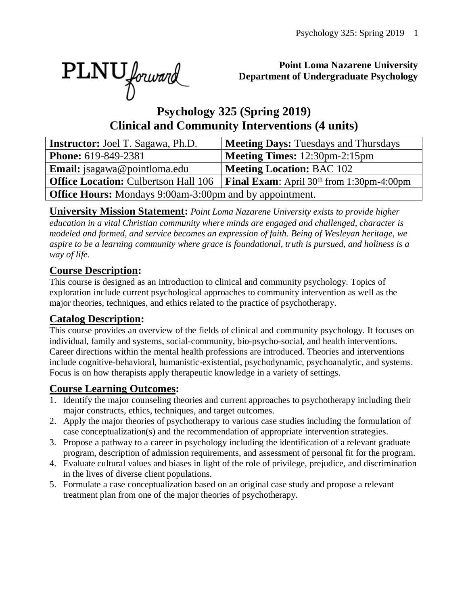PLNU forward

#### **Point Loma Nazarene University Department of Undergraduate Psychology**

# **Psychology 325 (Spring 2019) Clinical and Community Interventions (4 units)**

| <b>Instructor:</b> Joel T. Sagawa, Ph.D.                       | <b>Meeting Days: Tuesdays and Thursdays</b>                  |  |  |  |  |  |  |
|----------------------------------------------------------------|--------------------------------------------------------------|--|--|--|--|--|--|
| <b>Phone:</b> 619-849-2381                                     | <b>Meeting Times:</b> 12:30pm-2:15pm                         |  |  |  |  |  |  |
| <b>Email:</b> jsagawa@pointloma.edu                            | <b>Meeting Location: BAC 102</b>                             |  |  |  |  |  |  |
| <b>Office Location: Culbertson Hall 106</b>                    | <b>Final Exam:</b> April 30 <sup>th</sup> from 1:30pm-4:00pm |  |  |  |  |  |  |
| <b>Office Hours:</b> Mondays 9:00am-3:00pm and by appointment. |                                                              |  |  |  |  |  |  |

**University Mission Statement:** *Point Loma Nazarene University exists to provide higher education in a vital Christian community where minds are engaged and challenged, character is modeled and formed, and service becomes an expression of faith. Being of Wesleyan heritage, we aspire to be a learning community where grace is foundational, truth is pursued, and holiness is a way of life.*

## **Course Description:**

This course is designed as an introduction to clinical and community psychology. Topics of exploration include current psychological approaches to community intervention as well as the major theories, techniques, and ethics related to the practice of psychotherapy.

## **Catalog Description:**

This course provides an overview of the fields of clinical and community psychology. It focuses on individual, family and systems, social-community, bio-psycho-social, and health interventions. Career directions within the mental health professions are introduced. Theories and interventions include cognitive-behavioral, humanistic-existential, psychodynamic, psychoanalytic, and systems. Focus is on how therapists apply therapeutic knowledge in a variety of settings.

#### **Course Learning Outcomes:**

- 1. Identify the major counseling theories and current approaches to psychotherapy including their major constructs, ethics, techniques, and target outcomes.
- 2. Apply the major theories of psychotherapy to various case studies including the formulation of case conceptualization(s) and the recommendation of appropriate intervention strategies.
- 3. Propose a pathway to a career in psychology including the identification of a relevant graduate program, description of admission requirements, and assessment of personal fit for the program.
- 4. Evaluate cultural values and biases in light of the role of privilege, prejudice, and discrimination in the lives of diverse client populations.
- 5. Formulate a case conceptualization based on an original case study and propose a relevant treatment plan from one of the major theories of psychotherapy.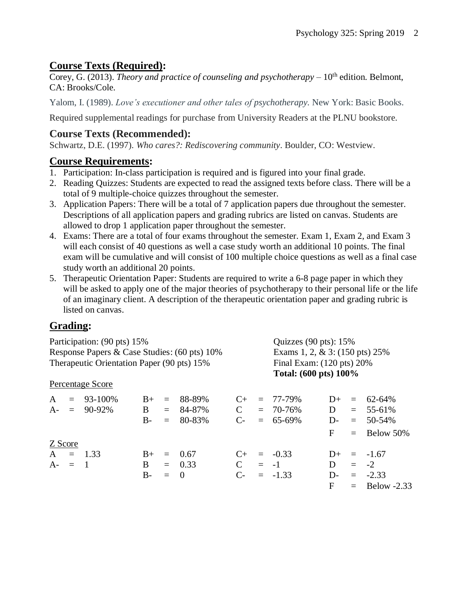## **Course Texts (Required):**

Corey, G. (2013). *Theory and practice of counseling and psychotherapy* – 10<sup>th</sup> edition. Belmont, CA: Brooks/Cole.

Yalom, I. (1989). *Love's executioner and other tales of psychotherapy.* New York: Basic Books.

Required supplemental readings for purchase from University Readers at the PLNU bookstore.

# **Course Texts (Recommended):**

Schwartz, D.E. (1997). *Who cares?: Rediscovering community*. Boulder, CO: Westview.

#### **Course Requirements:**

- 1. Participation: In-class participation is required and is figured into your final grade.
- 2. Reading Quizzes: Students are expected to read the assigned texts before class. There will be a total of 9 multiple-choice quizzes throughout the semester.
- 3. Application Papers: There will be a total of 7 application papers due throughout the semester. Descriptions of all application papers and grading rubrics are listed on canvas. Students are allowed to drop 1 application paper throughout the semester.
- 4. Exams: There are a total of four exams throughout the semester. Exam 1, Exam 2, and Exam 3 will each consist of 40 questions as well a case study worth an additional 10 points. The final exam will be cumulative and will consist of 100 multiple choice questions as well as a final case study worth an additional 20 points.
- 5. Therapeutic Orientation Paper: Students are required to write a 6-8 page paper in which they will be asked to apply one of the major theories of psychotherapy to their personal life or the life of an imaginary client. A description of the therapeutic orientation paper and grading rubric is listed on canvas.

# **Grading:**

| Participation: (90 pts) 15%<br>Response Papers & Case Studies: (60 pts) 10% |  |                  |              |         |            |               |  | Quizzes $(90 \text{ pts})$ : 15%<br>Exams 1, 2, $& 3: (150 \text{ pts}) 25\%$ |       |  |                 |
|-----------------------------------------------------------------------------|--|------------------|--------------|---------|------------|---------------|--|-------------------------------------------------------------------------------|-------|--|-----------------|
|                                                                             |  |                  |              |         |            |               |  |                                                                               |       |  |                 |
|                                                                             |  | Percentage Score |              |         |            |               |  |                                                                               |       |  |                 |
| A                                                                           |  | $= 93-100\%$     | $B+$         | $=$     | 88-89%     | $C_{\pm}$     |  | $= 77 - 79\%$                                                                 | $D+$  |  | $= 62 - 64\%$   |
|                                                                             |  | $A = 90-92\%$    | $\mathbf{B}$ | $=$ $-$ | 84-87%     | $\mathbf C$   |  | $= 70 - 76\%$                                                                 | D     |  | $= 55-61\%$     |
|                                                                             |  |                  | $B-$         | $=$     | 80-83%     | $C-$          |  | $= 65-69\%$                                                                   | $D-$  |  | $= 50 - 54\%$   |
|                                                                             |  |                  |              |         |            |               |  |                                                                               | F     |  | $=$ Below 50%   |
| Z Score                                                                     |  |                  |              |         |            |               |  |                                                                               |       |  |                 |
|                                                                             |  | $A = 1.33$       | $B+$         | $=$     | 0.67       | $C_{\pm}$     |  | $= -0.33$                                                                     |       |  | $D_{+} = -1.67$ |
| $A - = 1$                                                                   |  |                  | B.           |         | $= 0.33$   | $\mathcal{C}$ |  | $= -1$                                                                        | D.    |  | $=$ $-2$        |
|                                                                             |  |                  | $B-$         | $=$     | $\bigcirc$ | $C$ -         |  | $= -1.33$                                                                     | $D$ - |  | $= -2.33$       |
|                                                                             |  |                  |              |         |            |               |  |                                                                               | F     |  | $=$ Below -2.33 |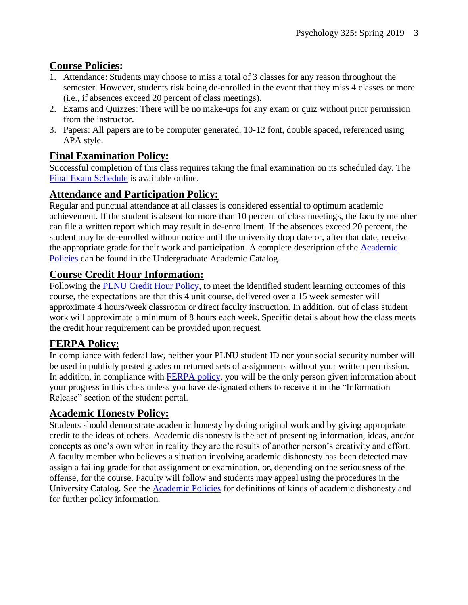## **Course Policies:**

- 1. Attendance: Students may choose to miss a total of 3 classes for any reason throughout the semester. However, students risk being de-enrolled in the event that they miss 4 classes or more (i.e., if absences exceed 20 percent of class meetings).
- 2. Exams and Quizzes: There will be no make-ups for any exam or quiz without prior permission from the instructor.
- 3. Papers: All papers are to be computer generated, 10-12 font, double spaced, referenced using APA style.

## **Final Examination Policy:**

Successful completion of this class requires taking the final examination on its scheduled day. The [Final Exam Schedule](http://www.pointloma.edu/experience/academics/class-schedules) is available online.

## **Attendance and Participation Policy:**

Regular and punctual attendance at all classes is considered essential to optimum academic achievement. If the student is absent for more than 10 percent of class meetings, the faculty member can file a written report which may result in de-enrollment. If the absences exceed 20 percent, the student may be de-enrolled without notice until the university drop date or, after that date, receive the appropriate grade for their work and participation. A complete description of the [Academic](https://catalog.pointloma.edu/content.php?catoid=18&navoid=1278#Class_Attendance)  [Policies](https://catalog.pointloma.edu/content.php?catoid=18&navoid=1278#Class_Attendance) can be found in the Undergraduate Academic Catalog.

## **Course Credit Hour Information:**

Following the **PLNU Credit Hour Policy**, to meet the identified student learning outcomes of this course, the expectations are that this 4 unit course, delivered over a 15 week semester will approximate 4 hours/week classroom or direct faculty instruction. In addition, out of class student work will approximate a minimum of 8 hours each week. Specific details about how the class meets the credit hour requirement can be provided upon request.

#### **FERPA Policy:**

In compliance with federal law, neither your PLNU student ID nor your social security number will be used in publicly posted grades or returned sets of assignments without your written permission. In addition, in compliance with [FERPA policy,](http://catalog.pointloma.edu/content.php?catoid=18&navoid=1278#Education_Records__FERPA__and_Directory_Information) you will be the only person given information about your progress in this class unless you have designated others to receive it in the "Information Release" section of the student portal.

#### **Academic Honesty Policy:**

Students should demonstrate academic honesty by doing original work and by giving appropriate credit to the ideas of others. Academic dishonesty is the act of presenting information, ideas, and/or concepts as one's own when in reality they are the results of another person's creativity and effort. A faculty member who believes a situation involving academic dishonesty has been detected may assign a failing grade for that assignment or examination, or, depending on the seriousness of the offense, for the course. Faculty will follow and students may appeal using the procedures in the University Catalog. See the [Academic Policies](https://catalog.pointloma.edu/content.php?catoid=18&navoid=1278#Academic_Honesty) for definitions of kinds of academic dishonesty and for further policy information.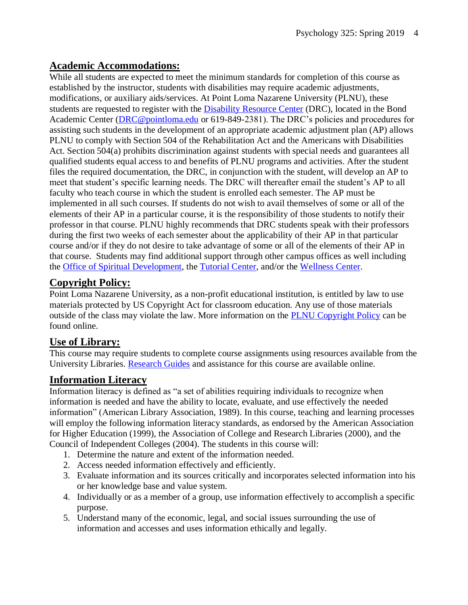#### **Academic Accommodations:**

While all students are expected to meet the minimum standards for completion of this course as established by the instructor, students with disabilities may require academic adjustments, modifications, or auxiliary aids/services. At Point Loma Nazarene University (PLNU), these students are requested to register with the [Disability Resource Center](http://www.pointloma.edu/experience/offices/administrative-offices/academic-advising-office/disability-resource-center) (DRC), located in the Bond Academic Center [\(DRC@pointloma.edu](mailto:DRC@pointloma.edu) or 619-849-2381). The DRC's policies and procedures for assisting such students in the development of an appropriate academic adjustment plan (AP) allows PLNU to comply with Section 504 of the Rehabilitation Act and the Americans with Disabilities Act. Section 504(a) prohibits discrimination against students with special needs and guarantees all qualified students equal access to and benefits of PLNU programs and activities. After the student files the required documentation, the DRC, in conjunction with the student, will develop an AP to meet that student's specific learning needs. The DRC will thereafter email the student's AP to all faculty who teach course in which the student is enrolled each semester. The AP must be implemented in all such courses. If students do not wish to avail themselves of some or all of the elements of their AP in a particular course, it is the responsibility of those students to notify their professor in that course. PLNU highly recommends that DRC students speak with their professors during the first two weeks of each semester about the applicability of their AP in that particular course and/or if they do not desire to take advantage of some or all of the elements of their AP in that course. Students may find additional support through other campus offices as well including the [Office of Spiritual Development,](https://www.pointloma.edu/offices/spiritual-development) the [Tutorial Center,](https://www.pointloma.edu/offices/tutorial-services) and/or the [Wellness Center.](https://www.pointloma.edu/offices/wellness-center)

## **Copyright Policy:**

Point Loma Nazarene University, as a non-profit educational institution, is entitled by law to use materials protected by US Copyright Act for classroom education. Any use of those materials outside of the class may violate the law. More information on the [PLNU Copyright Policy](http://libguides.pointloma.edu/content.php?pid=203591&sid=1700398) can be found online.

## **Use of Library:**

This course may require students to complete course assignments using resources available from the University Libraries. [Research Guides](http://libguides.pointloma.edu/ResearchGuides) and assistance for this course are available online.

#### **Information Literacy**

Information literacy is defined as "a set of abilities requiring individuals to recognize when information is needed and have the ability to locate, evaluate, and use effectively the needed information" (American Library Association, 1989). In this course, teaching and learning processes will employ the following information literacy standards, as endorsed by the American Association for Higher Education (1999), the Association of College and Research Libraries (2000), and the Council of Independent Colleges (2004). The students in this course will:

- 1. Determine the nature and extent of the information needed.
- 2. Access needed information effectively and efficiently.
- 3. Evaluate information and its sources critically and incorporates selected information into his or her knowledge base and value system.
- 4. Individually or as a member of a group, use information effectively to accomplish a specific purpose.
- 5. Understand many of the economic, legal, and social issues surrounding the use of information and accesses and uses information ethically and legally.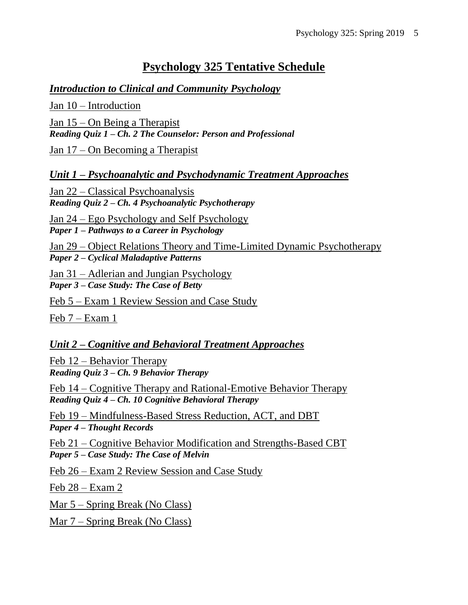# **Psychology 325 Tentative Schedule**

#### *Introduction to Clinical and Community Psychology*

Jan 10 – Introduction Jan 15 – On Being a Therapist *Reading Quiz 1 – Ch. 2 The Counselor: Person and Professional*

Jan 17 – On Becoming a Therapist

*Unit 1 – Psychoanalytic and Psychodynamic Treatment Approaches*

Jan 22 – Classical Psychoanalysis *Reading Quiz 2 – Ch. 4 Psychoanalytic Psychotherapy*

Jan 24 – Ego Psychology and Self Psychology *Paper 1 – Pathways to a Career in Psychology*

Jan 29 – Object Relations Theory and Time-Limited Dynamic Psychotherapy *Paper 2 – Cyclical Maladaptive Patterns*

Jan 31 – Adlerian and Jungian Psychology *Paper 3 – Case Study: The Case of Betty*

Feb 5 – Exam 1 Review Session and Case Study

Feb 7 – Exam 1

#### *Unit 2 – Cognitive and Behavioral Treatment Approaches*

Feb 12 – Behavior Therapy *Reading Quiz 3 – Ch. 9 Behavior Therapy* 

Feb 14 – Cognitive Therapy and Rational-Emotive Behavior Therapy *Reading Quiz 4 – Ch. 10 Cognitive Behavioral Therapy*

Feb 19 – Mindfulness-Based Stress Reduction, ACT, and DBT *Paper 4 – Thought Records*

Feb 21 – Cognitive Behavior Modification and Strengths-Based CBT *Paper 5 – Case Study: The Case of Melvin*

Feb 26 – Exam 2 Review Session and Case Study

Feb 28 – Exam 2

Mar 5 – Spring Break (No Class)

Mar 7 – Spring Break (No Class)